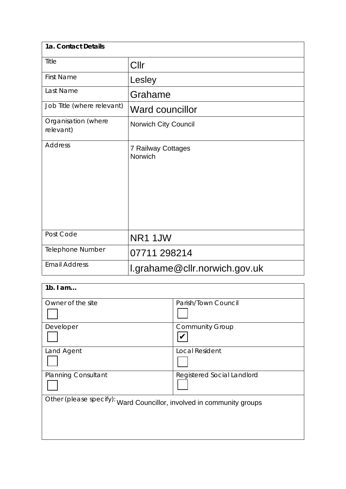| 1a. Contact Details              |                               |
|----------------------------------|-------------------------------|
| Title                            | Cllr                          |
| <b>First Name</b>                | Lesley                        |
| Last Name                        | Grahame                       |
| Job Title (where relevant)       | <b>Ward councillor</b>        |
| Organisation (where<br>relevant) | Norwich City Council          |
| <b>Address</b>                   | 7 Railway Cottages<br>Norwich |
| Post Code                        | NR1 1JW                       |
| Telephone Number                 | 07711 298214                  |
| <b>Email Address</b>             | l.grahame@cllr.norwich.gov.uk |

| Parish/Town Council                                                   |
|-----------------------------------------------------------------------|
|                                                                       |
| <b>Community Group</b>                                                |
|                                                                       |
| <b>Local Resident</b>                                                 |
|                                                                       |
| Registered Social Landlord                                            |
|                                                                       |
| Other (please specify): Ward Councillor, involved in community groups |
|                                                                       |
|                                                                       |
|                                                                       |
|                                                                       |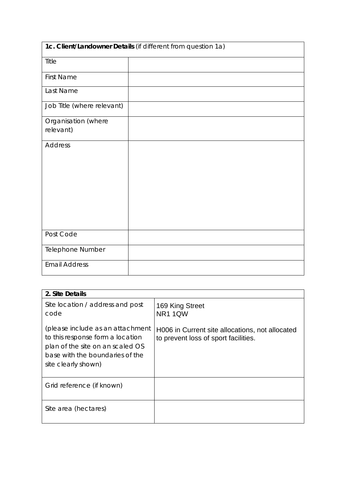| 1c. Client/Landowner Details (if different from question 1a) |  |  |  |
|--------------------------------------------------------------|--|--|--|
| Title                                                        |  |  |  |
| <b>First Name</b>                                            |  |  |  |
| Last Name                                                    |  |  |  |
| Job Title (where relevant)                                   |  |  |  |
| Organisation (where                                          |  |  |  |
| relevant)                                                    |  |  |  |
| <b>Address</b>                                               |  |  |  |
|                                                              |  |  |  |
|                                                              |  |  |  |
|                                                              |  |  |  |
|                                                              |  |  |  |
|                                                              |  |  |  |
| Post Code                                                    |  |  |  |
| Telephone Number                                             |  |  |  |
| <b>Email Address</b>                                         |  |  |  |

| 2. Site Details                                                                                                                                                    |                                                                                         |
|--------------------------------------------------------------------------------------------------------------------------------------------------------------------|-----------------------------------------------------------------------------------------|
| Site location / address and post<br>code                                                                                                                           | 169 King Street<br><b>NR11QW</b>                                                        |
| (please include as an attachment<br>to this response form a location<br>plan of the site on an scaled OS<br>base with the boundaries of the<br>site clearly shown) | H006 in Current site allocations, not allocated<br>to prevent loss of sport facilities. |
| Grid reference (if known)                                                                                                                                          |                                                                                         |
| Site area (hectares)                                                                                                                                               |                                                                                         |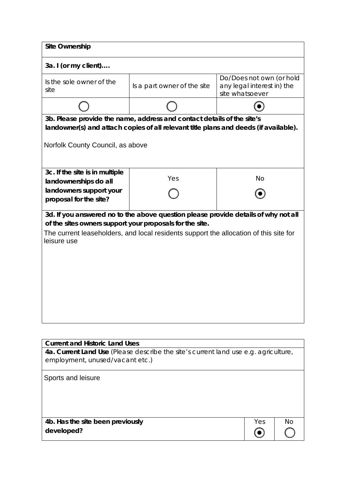| <b>Site Ownership</b>                                                                                                                                                                                                                                  |                             |                                                                           |  |  |  |
|--------------------------------------------------------------------------------------------------------------------------------------------------------------------------------------------------------------------------------------------------------|-----------------------------|---------------------------------------------------------------------------|--|--|--|
| 3a. I (or my client)                                                                                                                                                                                                                                   |                             |                                                                           |  |  |  |
| Is the sole owner of the<br>site                                                                                                                                                                                                                       | Is a part owner of the site | Do/Does not own (or hold<br>any legal interest in) the<br>site whatsoever |  |  |  |
|                                                                                                                                                                                                                                                        |                             |                                                                           |  |  |  |
| 3b. Please provide the name, address and contact details of the site's<br>landowner(s) and attach copies of all relevant title plans and deeds (if available).<br>Norfolk County Council, as above                                                     |                             |                                                                           |  |  |  |
| 3c. If the site is in multiple<br>landownerships do all                                                                                                                                                                                                | Yes                         | <b>No</b>                                                                 |  |  |  |
| landowners support your<br>proposal for the site?                                                                                                                                                                                                      |                             |                                                                           |  |  |  |
| 3d. If you answered no to the above question please provide details of why not all<br>of the sites owners support your proposals for the site.<br>The current leaseholders, and local residents support the allocation of this site for<br>leisure use |                             |                                                                           |  |  |  |

| <b>Current and Historic Land Uses</b>                                                                                  |     |    |
|------------------------------------------------------------------------------------------------------------------------|-----|----|
| 4a. Current Land Use (Please describe the site's current land use e.g. agriculture,<br>employment, unused/vacant etc.) |     |    |
|                                                                                                                        |     |    |
| Sports and leisure                                                                                                     |     |    |
|                                                                                                                        |     |    |
|                                                                                                                        |     |    |
|                                                                                                                        |     |    |
| 4b. Has the site been previously                                                                                       | Yes | Nο |
|                                                                                                                        |     |    |
| developed?                                                                                                             |     |    |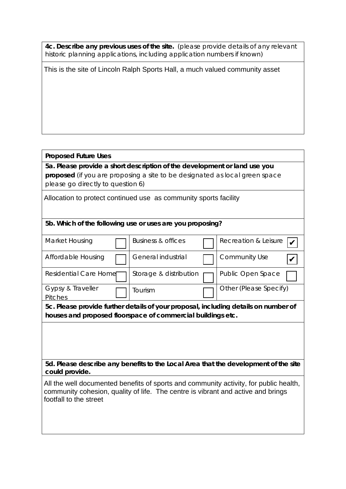**4c. Describe any previous uses of the site.** (please provide details of any relevant historic planning applications, including application numbers if known)

This is the site of Lincoln Ralph Sports Hall, a much valued community asset

## **Proposed Future Uses**

**5a. Please provide a short description of the development or land use you proposed** (if you are proposing a site to be designated as local green space please go directly to question 6)

## Allocation to protect continued use as community sports facility

### **5b. Which of the following use or uses are you proposing?**

| Market Housing                                                                                                                                                                                      |  | Business & offices                                          |  | Recreation & Leisure                                                                |  |
|-----------------------------------------------------------------------------------------------------------------------------------------------------------------------------------------------------|--|-------------------------------------------------------------|--|-------------------------------------------------------------------------------------|--|
| Affordable Housing                                                                                                                                                                                  |  | General industrial                                          |  | Community Use                                                                       |  |
| Residential Care Home                                                                                                                                                                               |  | Storage & distribution                                      |  | Public Open Space                                                                   |  |
| Gypsy & Traveller<br><b>Pitches</b>                                                                                                                                                                 |  | Tourism                                                     |  | Other (Please Specify)                                                              |  |
|                                                                                                                                                                                                     |  |                                                             |  | 5c. Please provide further details of your proposal, including details on number of |  |
|                                                                                                                                                                                                     |  | houses and proposed floorspace of commercial buildings etc. |  |                                                                                     |  |
|                                                                                                                                                                                                     |  |                                                             |  |                                                                                     |  |
|                                                                                                                                                                                                     |  |                                                             |  |                                                                                     |  |
|                                                                                                                                                                                                     |  |                                                             |  |                                                                                     |  |
| 5d. Please describe any benefits to the Local Area that the development of the site<br>could provide.                                                                                               |  |                                                             |  |                                                                                     |  |
| All the well documented benefits of sports and community activity, for public health,<br>community cohesion, quality of life. The centre is vibrant and active and brings<br>footfall to the street |  |                                                             |  |                                                                                     |  |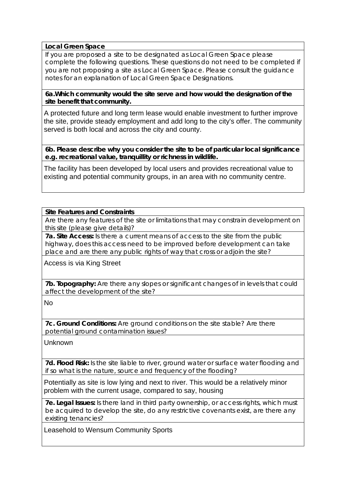## **Local Green Space**

If you are proposed a site to be designated as Local Green Space please complete the following questions. These questions do not need to be completed if you are not proposing a site as Local Green Space. Please consult the guidance notes for an explanation of Local Green Space Designations.

#### **6a.Which community would the site serve and how would the designation of the site benefit that community.**

A protected future and long term lease would enable investment to further improve the site, provide steady employment and add long to the city's offer. The community served is both local and across the city and county.

**6b. Please describe why you consider the site to be of particular local significance e.g. recreational value, tranquillity or richness in wildlife.**

The facility has been developed by local users and provides recreational value to existing and potential community groups, in an area with no community centre.

## **Site Features and Constraints**

Are there any features of the site or limitations that may constrain development on this site (please give details)?

**7a. Site Access:** Is there a current means of access to the site from the public highway, does this access need to be improved before development can take place and are there any public rights of way that cross or adjoin the site?

Access is via King Street

**7b. Topography:** Are there any slopes or significant changes of in levels that could affect the development of the site?

No

**7c. Ground Conditions:** Are ground conditions on the site stable? Are there potential ground contamination issues?

Unknown

**7d. Flood Risk:** Is the site liable to river, ground water or surface water flooding and if so what is the nature, source and frequency of the flooding?

Potentially as site is low lying and next to river. This would be a relatively minor problem with the current usage, compared to say, housing

**7e. Legal Issues:** Is there land in third party ownership, or access rights, which must be acquired to develop the site, do any restrictive covenants exist, are there any existing tenancies?

Leasehold to Wensum Community Sports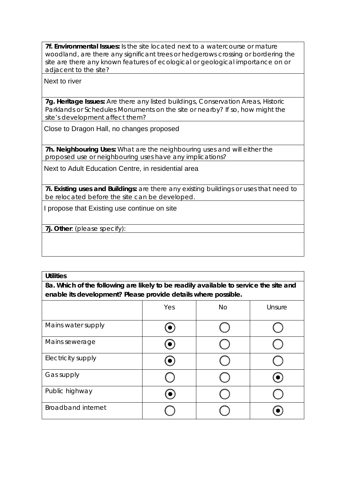**7f. Environmental Issues:** Is the site located next to a watercourse or mature woodland, are there any significant trees or hedgerows crossing or bordering the site are there any known features of ecological or geological importance on or adjacent to the site?

### Next to river

**7g. Heritage Issues:** Are there any listed buildings, Conservation Areas, Historic Parklands or Schedules Monuments on the site or nearby? If so, how might the site's development affect them?

Close to Dragon Hall, no changes proposed

**7h. Neighbouring Uses:** What are the neighbouring uses and will either the proposed use or neighbouring uses have any implications?

Next to Adult Education Centre, in residential area

**7i. Existing uses and Buildings:** are there any existing buildings or uses that need to be relocated before the site can be developed.

I propose that Existing use continue on site

**7j. Other**: (please specify):

| <b>Utilities</b>                                                                      |     |    |        |  |
|---------------------------------------------------------------------------------------|-----|----|--------|--|
| 8a. Which of the following are likely to be readily available to service the site and |     |    |        |  |
| enable its development? Please provide details where possible.                        |     |    |        |  |
|                                                                                       | Yes | No | Unsure |  |
| Mains water supply                                                                    |     |    |        |  |
| Mains sewerage                                                                        |     |    |        |  |
| Electricity supply                                                                    |     |    |        |  |
| Gas supply                                                                            |     |    |        |  |
| Public highway                                                                        |     |    |        |  |
| <b>Broadband internet</b>                                                             |     |    |        |  |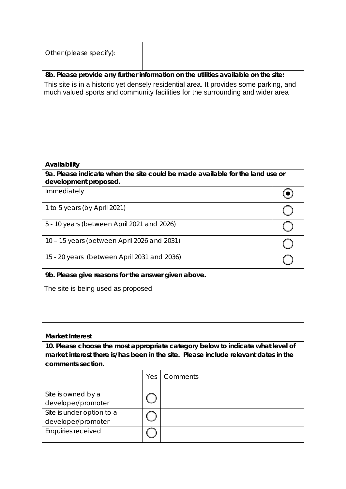| Other (please specify): |                                                                                                                                                                          |
|-------------------------|--------------------------------------------------------------------------------------------------------------------------------------------------------------------------|
|                         | 8b. Please provide any further information on the utilities available on the site:                                                                                       |
|                         | This site is in a historic yet densely residential area. It provides some parking, and<br>much valued sports and community facilities for the surrounding and wider area |

### **Availability**

#### **Market Interest**

| This site is in a historic yet densely residential area. It provides some parking, and |     | much valued sports and community facilities for the surrounding and wider area                                                                                         |                         |
|----------------------------------------------------------------------------------------|-----|------------------------------------------------------------------------------------------------------------------------------------------------------------------------|-------------------------|
|                                                                                        |     |                                                                                                                                                                        |                         |
|                                                                                        |     |                                                                                                                                                                        |                         |
| Availability                                                                           |     | 9a. Please indicate when the site could be made available for the land use or                                                                                          |                         |
| development proposed.<br>Immediately                                                   |     |                                                                                                                                                                        |                         |
|                                                                                        |     |                                                                                                                                                                        |                         |
| 1 to 5 years (by April 2021)                                                           |     |                                                                                                                                                                        | $\subset$               |
| 5 - 10 years (between April 2021 and 2026)                                             |     |                                                                                                                                                                        | $\overline{\mathsf{C}}$ |
| 10 - 15 years (between April 2026 and 2031)                                            |     |                                                                                                                                                                        |                         |
| 15 - 20 years (between April 2031 and 2036)                                            |     |                                                                                                                                                                        |                         |
| 9b. Please give reasons for the answer given above.                                    |     |                                                                                                                                                                        |                         |
| The site is being used as proposed                                                     |     |                                                                                                                                                                        |                         |
|                                                                                        |     |                                                                                                                                                                        |                         |
|                                                                                        |     |                                                                                                                                                                        |                         |
|                                                                                        |     |                                                                                                                                                                        |                         |
| <b>Market Interest</b>                                                                 |     |                                                                                                                                                                        |                         |
|                                                                                        |     | 10. Please choose the most appropriate category below to indicate what level of<br>market interest there is/has been in the site. Please include relevant dates in the |                         |
| comments section.                                                                      |     |                                                                                                                                                                        |                         |
|                                                                                        | Yes | Comments                                                                                                                                                               |                         |
| Site is owned by a<br>developer/promoter                                               |     |                                                                                                                                                                        |                         |
| Site is under option to a<br>developer/promoter                                        |     |                                                                                                                                                                        |                         |
| <b>Enquiries received</b>                                                              |     |                                                                                                                                                                        |                         |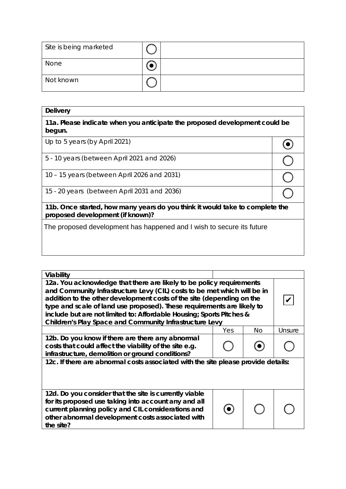| Site is being marketed |  |
|------------------------|--|
| None                   |  |
| Not known              |  |

| <b>Delivery</b>                                                                                                  |  |  |  |
|------------------------------------------------------------------------------------------------------------------|--|--|--|
| 11a. Please indicate when you anticipate the proposed development could be<br>begun.                             |  |  |  |
| Up to 5 years (by April 2021)                                                                                    |  |  |  |
| 5 - 10 years (between April 2021 and 2026)                                                                       |  |  |  |
| 10 – 15 years (between April 2026 and 2031)                                                                      |  |  |  |
| 15 - 20 years (between April 2031 and 2036)                                                                      |  |  |  |
| 11b. Once started, how many years do you think it would take to complete the<br>proposed development (if known)? |  |  |  |
| The proposed development has happened and I wish to secure its future                                            |  |  |  |

| Viability                                                                                                                                                                                                                                                                                                                                                                                                                              |     |     |        |  |
|----------------------------------------------------------------------------------------------------------------------------------------------------------------------------------------------------------------------------------------------------------------------------------------------------------------------------------------------------------------------------------------------------------------------------------------|-----|-----|--------|--|
| 12a. You acknowledge that there are likely to be policy requirements<br>and Community Infrastructure Levy (CIL) costs to be met which will be in<br>addition to the other development costs of the site (depending on the<br>type and scale of land use proposed). These requirements are likely to<br>include but are not limited to: Affordable Housing; Sports Pitches &<br>Children's Play Space and Community Infrastructure Levy |     |     |        |  |
|                                                                                                                                                                                                                                                                                                                                                                                                                                        | Yes | No. | Unsure |  |
| 12b. Do you know if there are there any abnormal<br>costs that could affect the viability of the site e.g.<br>infrastructure, demolition or ground conditions?                                                                                                                                                                                                                                                                         |     |     |        |  |
| 12c. If there are abnormal costs associated with the site please provide details:                                                                                                                                                                                                                                                                                                                                                      |     |     |        |  |
| 12d. Do you consider that the site is currently viable<br>for its proposed use taking into account any and all<br>current planning policy and CIL considerations and<br>other abnormal development costs associated with<br>the site?                                                                                                                                                                                                  |     |     |        |  |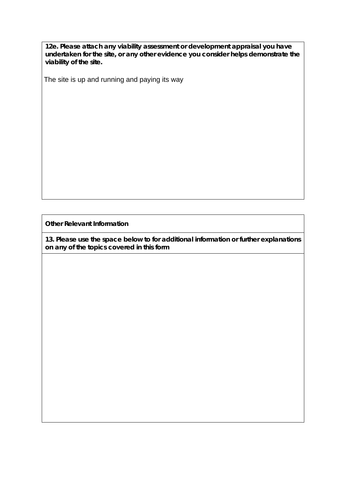**12e. Please attach any viability assessment or development appraisal you have undertaken for the site, or any other evidence you consider helps demonstrate the viability of the site.** 

The site is up and running and paying its way

**Other Relevant Information**

**13. Please use the space below to for additional information or further explanations on any of the topics covered in this form**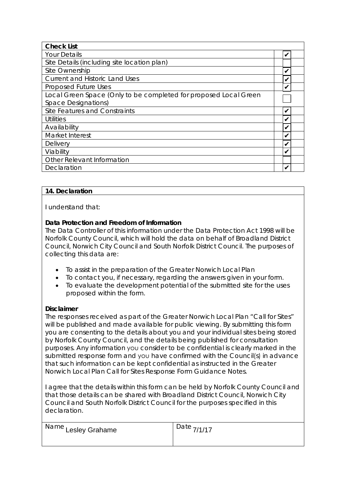| <b>Check List</b>                                                |   |  |
|------------------------------------------------------------------|---|--|
| <b>Your Details</b>                                              | ✓ |  |
| Site Details (including site location plan)                      |   |  |
| Site Ownership                                                   |   |  |
| <b>Current and Historic Land Uses</b>                            |   |  |
| <b>Proposed Future Uses</b>                                      | V |  |
| Local Green Space (Only to be completed for proposed Local Green |   |  |
| <b>Space Designations)</b>                                       |   |  |
| Site Features and Constraints                                    | V |  |
| Utilities                                                        | ✔ |  |
| Availability                                                     |   |  |
| Market Interest                                                  |   |  |
| <b>Delivery</b>                                                  |   |  |
| Viability                                                        | v |  |
| <b>Other Relevant Information</b>                                |   |  |
| Declaration                                                      |   |  |

## **14. Declaration**

I understand that:

# **Data Protection and Freedom of Information**

The Data Controller of this information under the Data Protection Act 1998 will be Norfolk County Council, which will hold the data on behalf of Broadland District Council, Norwich City Council and South Norfolk District Council. The purposes of collecting this data are:

- To assist in the preparation of the Greater Norwich Local Plan
- To contact you, if necessary, regarding the answers given in your form.
- To evaluate the development potential of the submitted site for the uses proposed within the form.

# **Disclaimer**

The responses received as part of the Greater Norwich Local Plan "Call for Sites" will be published and made available for public viewing. By submitting this form you are consenting to the details about you and your individual sites being stored by Norfolk County Council, and the details being published for consultation purposes. Any information you consider to be confidential is clearly marked in the submitted response form and you have confirmed with the Council(s) in advance that such information can be kept confidential as instructed in the Greater Norwich Local Plan Call for Sites Response Form Guidance Notes.

I agree that the details within this form can be held by Norfolk County Council and that those details can be shared with Broadland District Council, Norwich City Council and South Norfolk District Council for the purposes specified in this declaration.

| Name Lesley Grahame | Date $7/1/17$ |
|---------------------|---------------|
|                     |               |